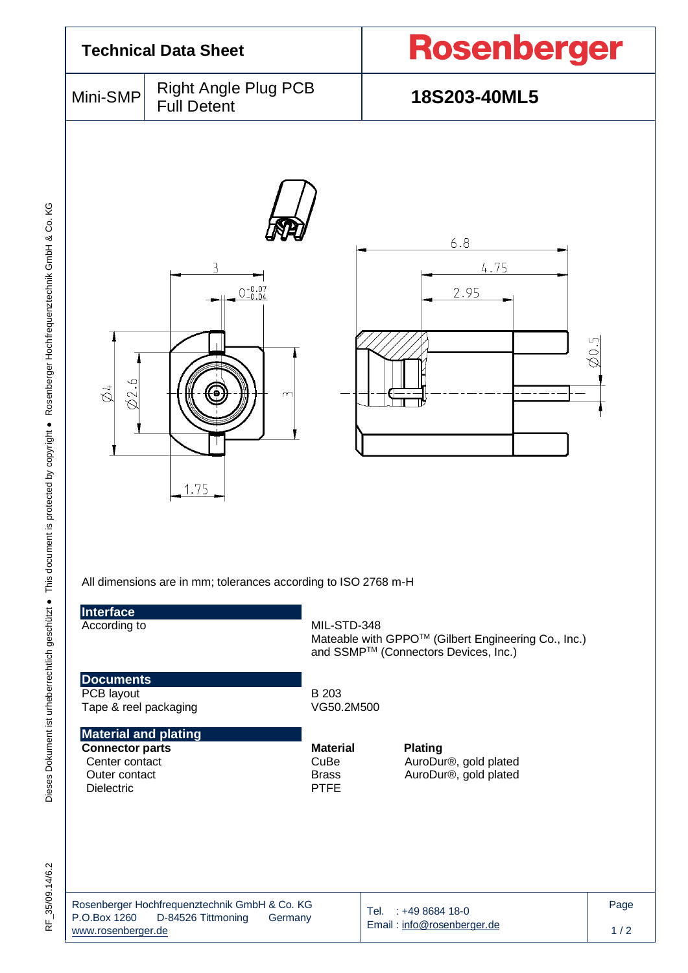| <b>Technical Data Sheet</b>                                                                                                                                                                           |                                                                                | <b>Rosenberger</b>                                                                           |                                                                                                                                                                 |             |  |  |
|-------------------------------------------------------------------------------------------------------------------------------------------------------------------------------------------------------|--------------------------------------------------------------------------------|----------------------------------------------------------------------------------------------|-----------------------------------------------------------------------------------------------------------------------------------------------------------------|-------------|--|--|
| Mini-SMP                                                                                                                                                                                              | <b>Right Angle Plug PCB</b><br><b>Full Detent</b>                              |                                                                                              | 18S203-40ML5                                                                                                                                                    |             |  |  |
| 02.6<br>$\breve{\otimes}$                                                                                                                                                                             | $0^{+0.07}_{-0.04}$<br>m<br>1.75                                               |                                                                                              | 6.8<br>4.75<br>2.95                                                                                                                                             | 20.5        |  |  |
| Interface<br>According to<br><b>Documents</b><br>PCB layout<br>Tape & reel packaging<br><b>Material and plating</b><br><b>Connector parts</b><br>Center contact<br>Outer contact<br><b>Dielectric</b> | All dimensions are in mm; tolerances according to ISO 2768 m-H                 | MIL-STD-348<br>B 203<br>VG50.2M500<br><b>Material</b><br>CuBe<br><b>Brass</b><br><b>PTFE</b> | Mateable with GPPO™ (Gilbert Engineering Co., Inc.)<br>and SSMP™ (Connectors Devices, Inc.)<br><b>Plating</b><br>AuroDur®, gold plated<br>AuroDur®, gold plated |             |  |  |
| P.O.Box 1260<br>www.rosenberger.de                                                                                                                                                                    | Rosenberger Hochfrequenztechnik GmbH & Co. KG<br>D-84526 Tittmoning<br>Germany |                                                                                              | Tel. : +49 8684 18-0<br>Email: info@rosenberger.de                                                                                                              | Page<br>1/2 |  |  |